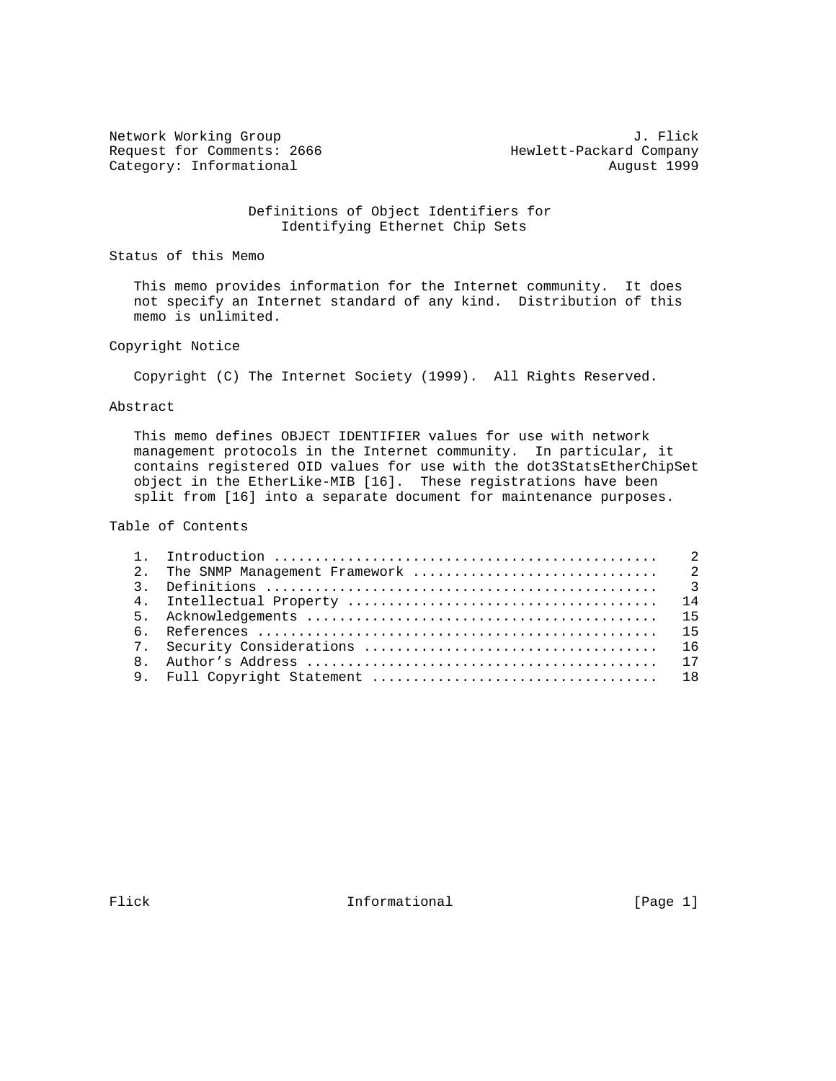Request for Comments: 2666 Hewlett-Packard Company Category: Informational and August 1999

Network Working Group 3. The Second Second Second Second Second Second Second Second Second Second Second Second Second Second Second Second Second Second Second Second Second Second Second Second Second Second Second Seco

### Definitions of Object Identifiers for Identifying Ethernet Chip Sets

Status of this Memo

 This memo provides information for the Internet community. It does not specify an Internet standard of any kind. Distribution of this memo is unlimited.

#### Copyright Notice

Copyright (C) The Internet Society (1999). All Rights Reserved.

#### Abstract

 This memo defines OBJECT IDENTIFIER values for use with network management protocols in the Internet community. In particular, it contains registered OID values for use with the dot3StatsEtherChipSet object in the EtherLike-MIB [16]. These registrations have been split from [16] into a separate document for maintenance purposes.

Table of Contents

Flick **Informational** Informational [Page 1]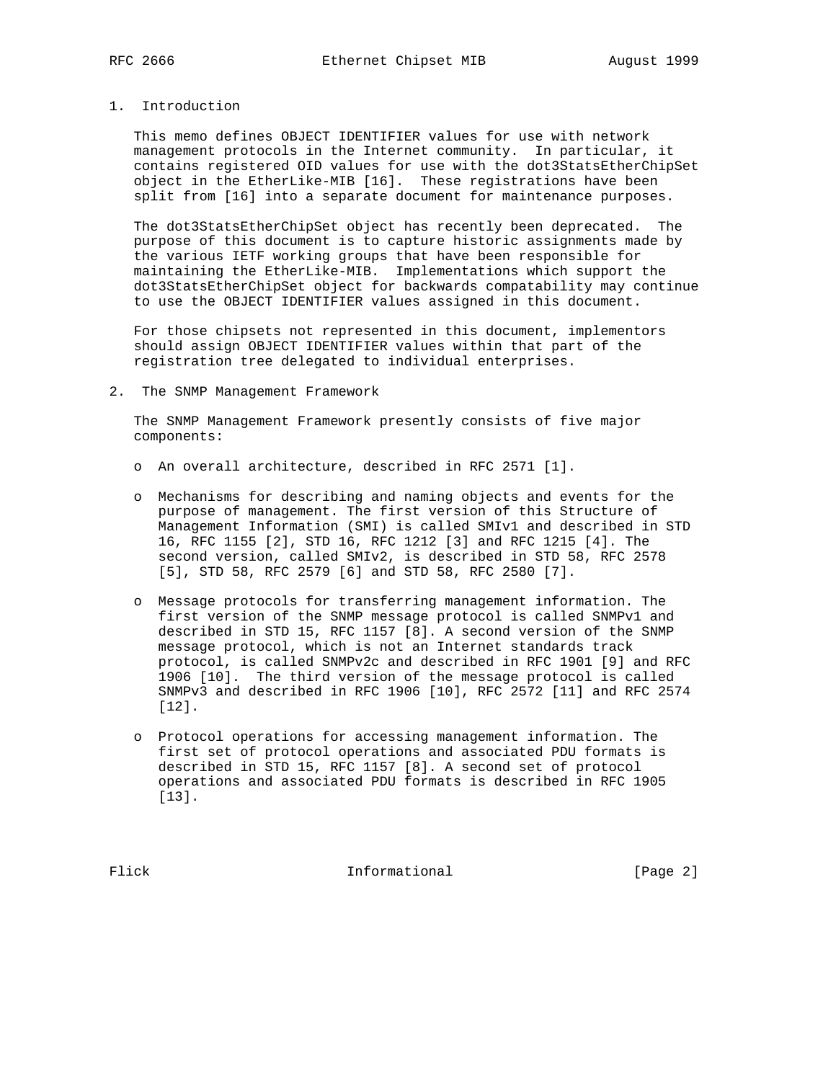# 1. Introduction

 This memo defines OBJECT IDENTIFIER values for use with network management protocols in the Internet community. In particular, it contains registered OID values for use with the dot3StatsEtherChipSet object in the EtherLike-MIB [16]. These registrations have been split from [16] into a separate document for maintenance purposes.

 The dot3StatsEtherChipSet object has recently been deprecated. The purpose of this document is to capture historic assignments made by the various IETF working groups that have been responsible for maintaining the EtherLike-MIB. Implementations which support the dot3StatsEtherChipSet object for backwards compatability may continue to use the OBJECT IDENTIFIER values assigned in this document.

 For those chipsets not represented in this document, implementors should assign OBJECT IDENTIFIER values within that part of the registration tree delegated to individual enterprises.

2. The SNMP Management Framework

 The SNMP Management Framework presently consists of five major components:

- o An overall architecture, described in RFC 2571 [1].
- o Mechanisms for describing and naming objects and events for the purpose of management. The first version of this Structure of Management Information (SMI) is called SMIv1 and described in STD 16, RFC 1155 [2], STD 16, RFC 1212 [3] and RFC 1215 [4]. The second version, called SMIv2, is described in STD 58, RFC 2578 [5], STD 58, RFC 2579 [6] and STD 58, RFC 2580 [7].
- o Message protocols for transferring management information. The first version of the SNMP message protocol is called SNMPv1 and described in STD 15, RFC 1157 [8]. A second version of the SNMP message protocol, which is not an Internet standards track protocol, is called SNMPv2c and described in RFC 1901 [9] and RFC 1906 [10]. The third version of the message protocol is called SNMPv3 and described in RFC 1906 [10], RFC 2572 [11] and RFC 2574 [12].
- o Protocol operations for accessing management information. The first set of protocol operations and associated PDU formats is described in STD 15, RFC 1157 [8]. A second set of protocol operations and associated PDU formats is described in RFC 1905 [13].

Flick **Informational Informational** [Page 2]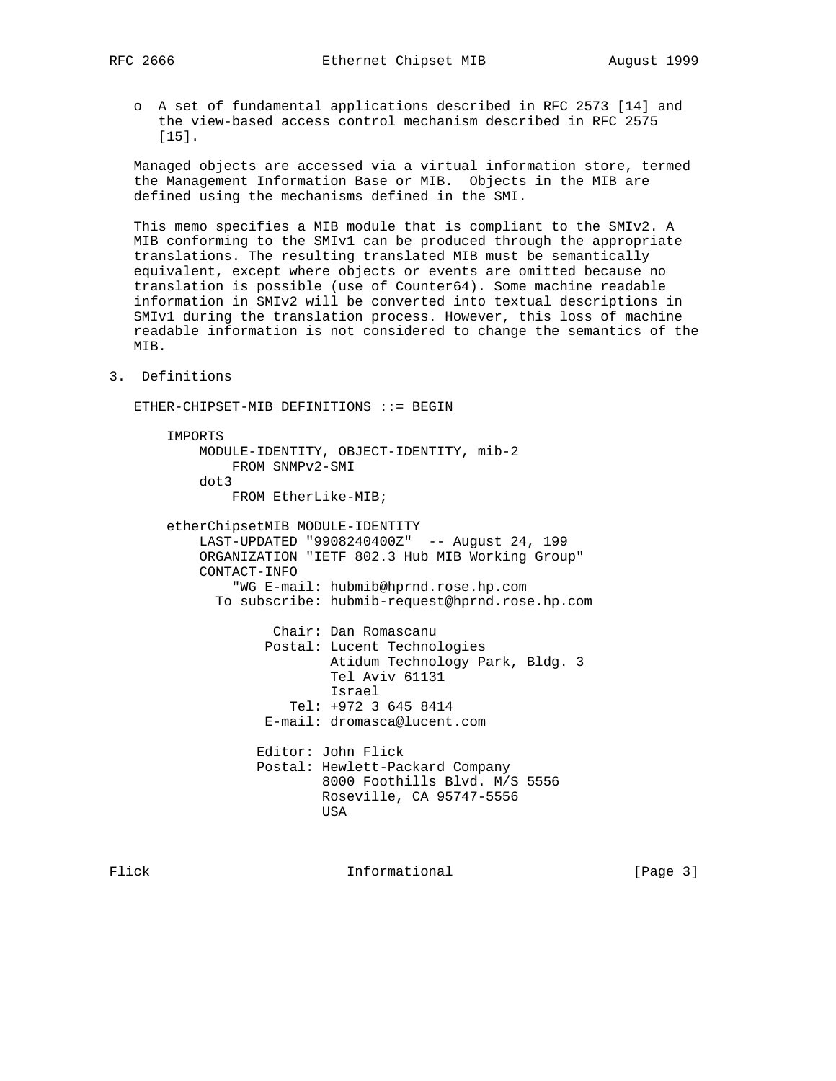o A set of fundamental applications described in RFC 2573 [14] and the view-based access control mechanism described in RFC 2575 [15].

 Managed objects are accessed via a virtual information store, termed the Management Information Base or MIB. Objects in the MIB are defined using the mechanisms defined in the SMI.

 This memo specifies a MIB module that is compliant to the SMIv2. A MIB conforming to the SMIv1 can be produced through the appropriate translations. The resulting translated MIB must be semantically equivalent, except where objects or events are omitted because no translation is possible (use of Counter64). Some machine readable information in SMIv2 will be converted into textual descriptions in SMIv1 during the translation process. However, this loss of machine readable information is not considered to change the semantics of the MIB.

3. Definitions

ETHER-CHIPSET-MIB DEFINITIONS ::= BEGIN

 IMPORTS MODULE-IDENTITY, OBJECT-IDENTITY, mib-2 FROM SNMPv2-SMI dot3 FROM EtherLike-MIB; etherChipsetMIB MODULE-IDENTITY LAST-UPDATED "9908240400Z" -- August 24, 199 ORGANIZATION "IETF 802.3 Hub MIB Working Group" CONTACT-INFO "WG E-mail: hubmib@hprnd.rose.hp.com To subscribe: hubmib-request@hprnd.rose.hp.com Chair: Dan Romascanu Postal: Lucent Technologies Atidum Technology Park, Bldg. 3 Tel Aviv 61131 Israel Tel: +972 3 645 8414 E-mail: dromasca@lucent.com Editor: John Flick Postal: Hewlett-Packard Company 8000 Foothills Blvd. M/S 5556 Roseville, CA 95747-5556 **USA** 

Flick **Informational** Informational [Page 3]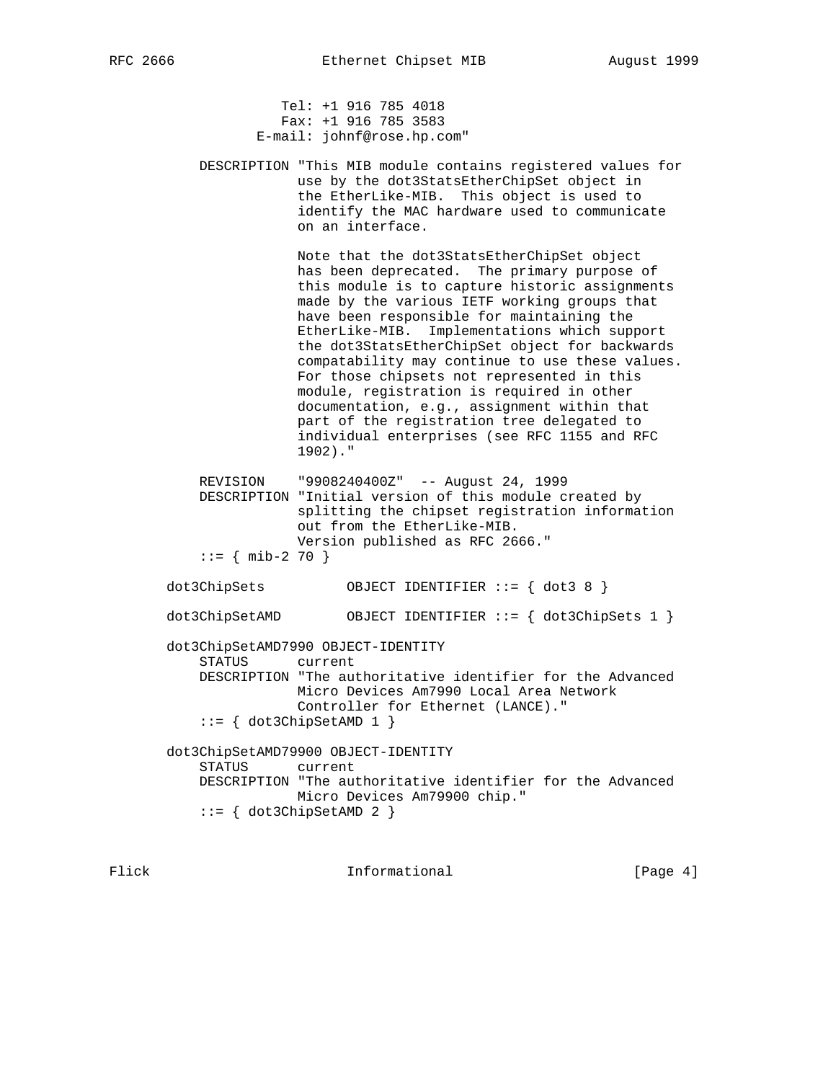Tel: +1 916 785 4018 Fax: +1 916 785 3583 E-mail: johnf@rose.hp.com"

 DESCRIPTION "This MIB module contains registered values for use by the dot3StatsEtherChipSet object in the EtherLike-MIB. This object is used to identify the MAC hardware used to communicate on an interface.

> Note that the dot3StatsEtherChipSet object has been deprecated. The primary purpose of this module is to capture historic assignments made by the various IETF working groups that have been responsible for maintaining the EtherLike-MIB. Implementations which support the dot3StatsEtherChipSet object for backwards compatability may continue to use these values. For those chipsets not represented in this module, registration is required in other documentation, e.g., assignment within that part of the registration tree delegated to individual enterprises (see RFC 1155 and RFC 1902)."

 REVISION "9908240400Z" -- August 24, 1999 DESCRIPTION "Initial version of this module created by splitting the chipset registration information out from the EtherLike-MIB. Version published as RFC 2666."

```
::= { mib-2 70 }
```
dot3ChipSets OBJECT IDENTIFIER ::= { dot3 8 }

dot3ChipSetAMD OBJECT IDENTIFIER ::= { dot3ChipSets 1 }

 dot3ChipSetAMD7990 OBJECT-IDENTITY STATUS current DESCRIPTION "The authoritative identifier for the Advanced Micro Devices Am7990 Local Area Network Controller for Ethernet (LANCE)." ::= { dot3ChipSetAMD 1 }

 dot3ChipSetAMD79900 OBJECT-IDENTITY STATUS current DESCRIPTION "The authoritative identifier for the Advanced Micro Devices Am79900 chip." ::= { dot3ChipSetAMD 2 }

Flick **Informational** Informational [Page 4]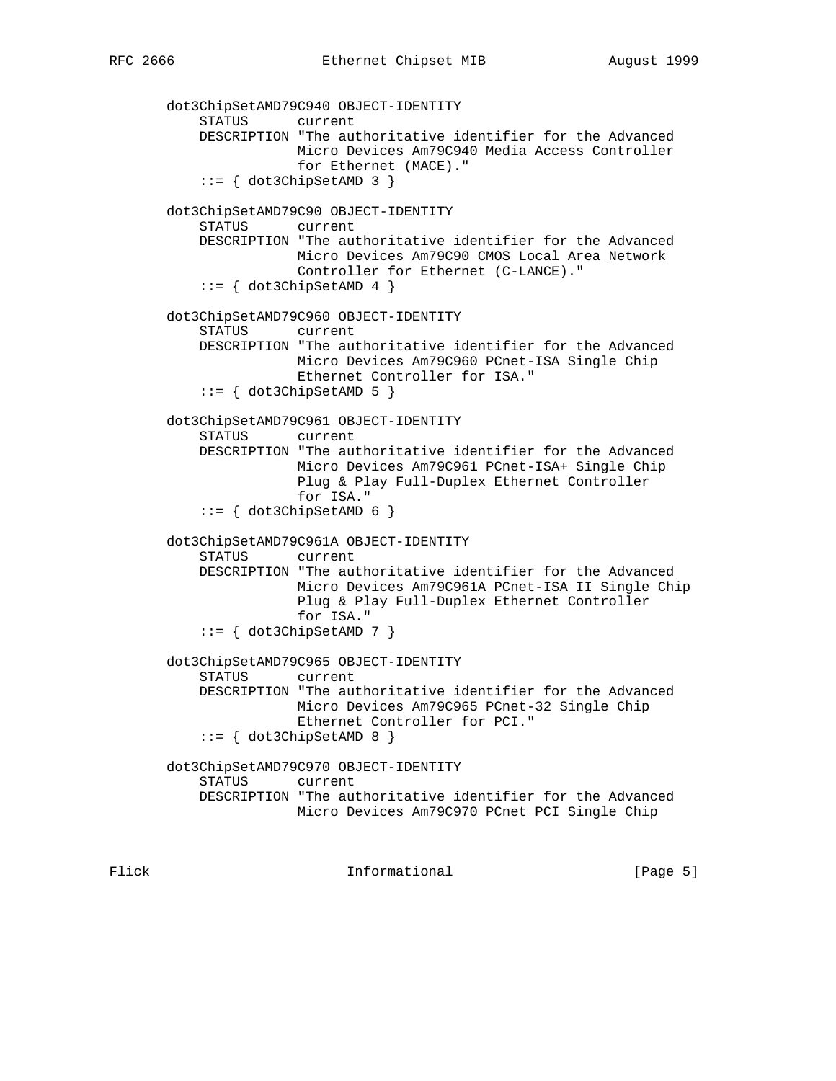dot3ChipSetAMD79C940 OBJECT-IDENTITY STATUS current DESCRIPTION "The authoritative identifier for the Advanced Micro Devices Am79C940 Media Access Controller for Ethernet (MACE)." ::= { dot3ChipSetAMD 3 } dot3ChipSetAMD79C90 OBJECT-IDENTITY STATUS current DESCRIPTION "The authoritative identifier for the Advanced Micro Devices Am79C90 CMOS Local Area Network Controller for Ethernet (C-LANCE)." ::= { dot3ChipSetAMD 4 } dot3ChipSetAMD79C960 OBJECT-IDENTITY STATUS current DESCRIPTION "The authoritative identifier for the Advanced Micro Devices Am79C960 PCnet-ISA Single Chip Ethernet Controller for ISA."  $::= \{ dot3ChipsetAMD 5 \}$  dot3ChipSetAMD79C961 OBJECT-IDENTITY STATUS current DESCRIPTION "The authoritative identifier for the Advanced Micro Devices Am79C961 PCnet-ISA+ Single Chip Plug & Play Full-Duplex Ethernet Controller for ISA."  $::= \{ dot3ChipsetAMD 6 \}$  dot3ChipSetAMD79C961A OBJECT-IDENTITY STATUS current DESCRIPTION "The authoritative identifier for the Advanced Micro Devices Am79C961A PCnet-ISA II Single Chip Plug & Play Full-Duplex Ethernet Controller for ISA." ::= { dot3ChipSetAMD 7 } dot3ChipSetAMD79C965 OBJECT-IDENTITY STATUS current DESCRIPTION "The authoritative identifier for the Advanced Micro Devices Am79C965 PCnet-32 Single Chip Ethernet Controller for PCI." ::= { dot3ChipSetAMD 8 } dot3ChipSetAMD79C970 OBJECT-IDENTITY STATUS current DESCRIPTION "The authoritative identifier for the Advanced Micro Devices Am79C970 PCnet PCI Single Chip

Flick **Informational** Informational [Page 5]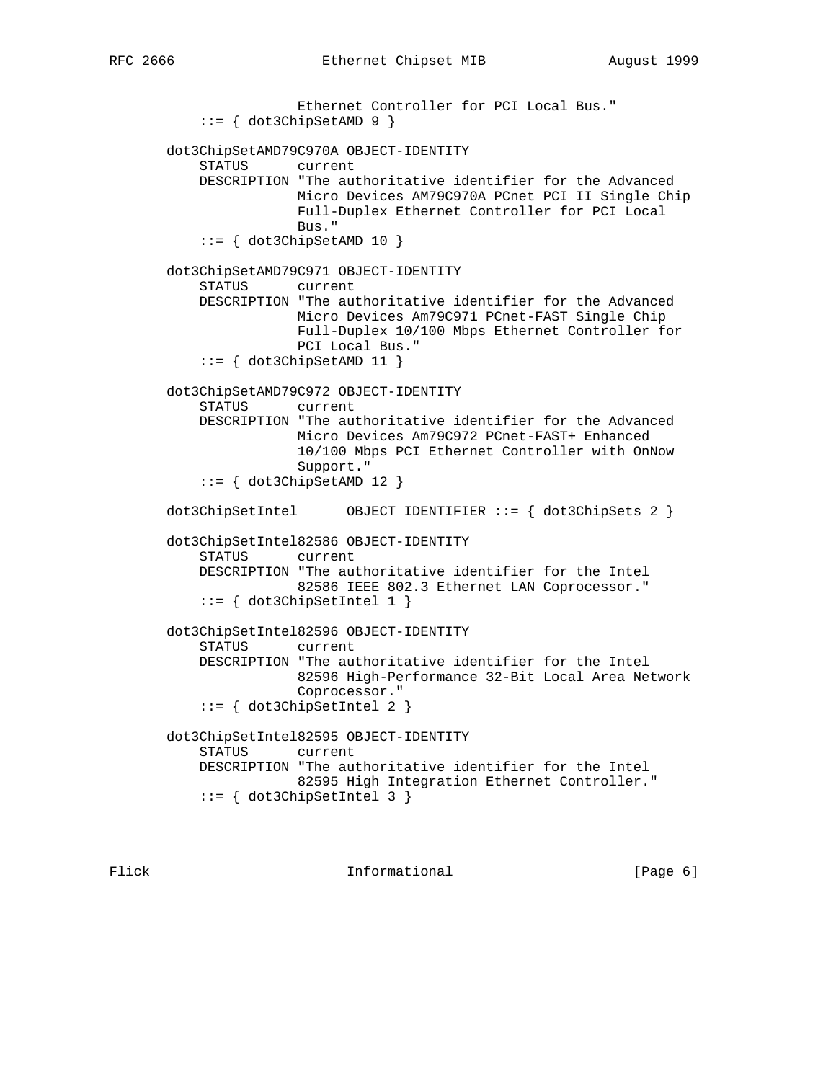Ethernet Controller for PCI Local Bus." ::= { dot3ChipSetAMD 9 } dot3ChipSetAMD79C970A OBJECT-IDENTITY STATUS current DESCRIPTION "The authoritative identifier for the Advanced Micro Devices AM79C970A PCnet PCI II Single Chip Full-Duplex Ethernet Controller for PCI Local Bus." ::= { dot3ChipSetAMD 10 } dot3ChipSetAMD79C971 OBJECT-IDENTITY STATUS current DESCRIPTION "The authoritative identifier for the Advanced Micro Devices Am79C971 PCnet-FAST Single Chip Full-Duplex 10/100 Mbps Ethernet Controller for PCI Local Bus." ::= { dot3ChipSetAMD 11 } dot3ChipSetAMD79C972 OBJECT-IDENTITY STATUS current DESCRIPTION "The authoritative identifier for the Advanced Micro Devices Am79C972 PCnet-FAST+ Enhanced 10/100 Mbps PCI Ethernet Controller with OnNow Support." ::= { dot3ChipSetAMD 12 } dot3ChipSetIntel OBJECT IDENTIFIER ::= { dot3ChipSets 2 } dot3ChipSetIntel82586 OBJECT-IDENTITY STATUS current DESCRIPTION "The authoritative identifier for the Intel 82586 IEEE 802.3 Ethernet LAN Coprocessor."  $::= \{ dot3ChipsetIntel 1 \}$  dot3ChipSetIntel82596 OBJECT-IDENTITY STATUS current DESCRIPTION "The authoritative identifier for the Intel 82596 High-Performance 32-Bit Local Area Network Coprocessor." ::= { dot3ChipSetIntel 2 } dot3ChipSetIntel82595 OBJECT-IDENTITY STATUS current DESCRIPTION "The authoritative identifier for the Intel 82595 High Integration Ethernet Controller." ::= { dot3ChipSetIntel 3 }

Flick **Informational** Informational [Page 6]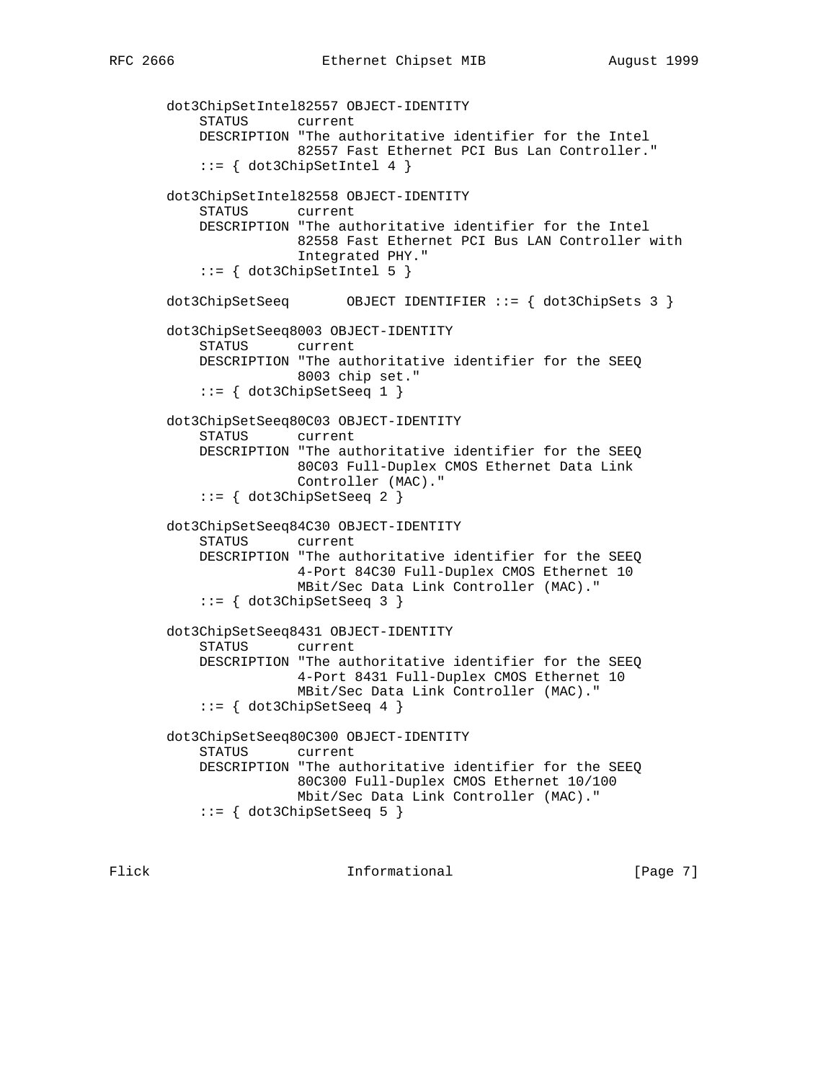dot3ChipSetIntel82557 OBJECT-IDENTITY STATUS current DESCRIPTION "The authoritative identifier for the Intel 82557 Fast Ethernet PCI Bus Lan Controller."  $::= \{ dot3ChipsetIntel 4 \}$  dot3ChipSetIntel82558 OBJECT-IDENTITY STATUS current DESCRIPTION "The authoritative identifier for the Intel 82558 Fast Ethernet PCI Bus LAN Controller with Integrated PHY." ::= { dot3ChipSetIntel 5 } dot3ChipSetSeeq OBJECT IDENTIFIER ::= { dot3ChipSets 3 } dot3ChipSetSeeq8003 OBJECT-IDENTITY STATUS current DESCRIPTION "The authoritative identifier for the SEEQ 8003 chip set." ::= { dot3ChipSetSeeq 1 } dot3ChipSetSeeq80C03 OBJECT-IDENTITY STATUS current DESCRIPTION "The authoritative identifier for the SEEQ 80C03 Full-Duplex CMOS Ethernet Data Link Controller (MAC)." ::= { dot3ChipSetSeeq 2 } dot3ChipSetSeeq84C30 OBJECT-IDENTITY STATUS current DESCRIPTION "The authoritative identifier for the SEEQ 4-Port 84C30 Full-Duplex CMOS Ethernet 10 MBit/Sec Data Link Controller (MAC)." ::= { dot3ChipSetSeeq 3 } dot3ChipSetSeeq8431 OBJECT-IDENTITY STATUS current DESCRIPTION "The authoritative identifier for the SEEQ 4-Port 8431 Full-Duplex CMOS Ethernet 10 MBit/Sec Data Link Controller (MAC)." ::= { dot3ChipSetSeeq 4 } dot3ChipSetSeeq80C300 OBJECT-IDENTITY STATUS current DESCRIPTION "The authoritative identifier for the SEEQ 80C300 Full-Duplex CMOS Ethernet 10/100 Mbit/Sec Data Link Controller (MAC)." ::= { dot3ChipSetSeeq 5 }

Flick **Informational** Informational [Page 7]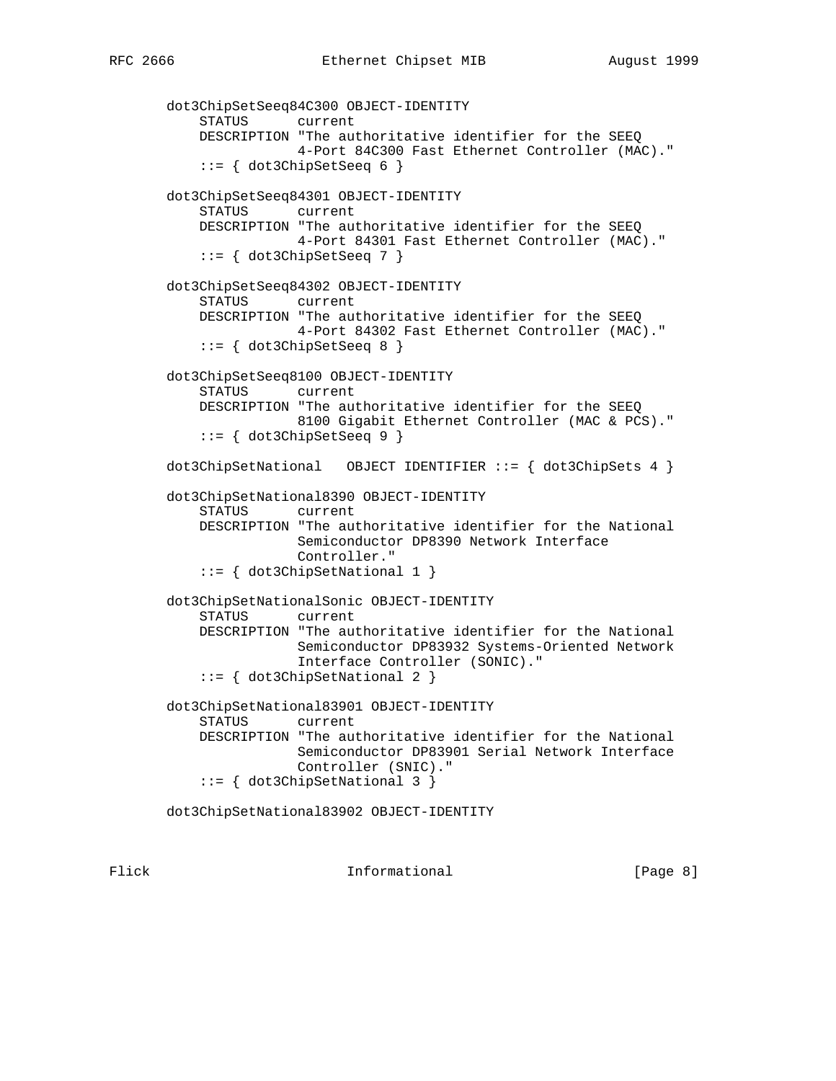dot3ChipSetSeeq84C300 OBJECT-IDENTITY STATUS current DESCRIPTION "The authoritative identifier for the SEEQ 4-Port 84C300 Fast Ethernet Controller (MAC)."  $::= \{ dot3ChipsetSeeq 6 \}$  dot3ChipSetSeeq84301 OBJECT-IDENTITY STATUS current DESCRIPTION "The authoritative identifier for the SEEQ 4-Port 84301 Fast Ethernet Controller (MAC)." ::= { dot3ChipSetSeeq 7 } dot3ChipSetSeeq84302 OBJECT-IDENTITY STATUS current DESCRIPTION "The authoritative identifier for the SEEQ 4-Port 84302 Fast Ethernet Controller (MAC)." ::= { dot3ChipSetSeeq 8 } dot3ChipSetSeeq8100 OBJECT-IDENTITY STATUS current DESCRIPTION "The authoritative identifier for the SEEQ 8100 Gigabit Ethernet Controller (MAC & PCS)." ::= { dot3ChipSetSeeq 9 } dot3ChipSetNational OBJECT IDENTIFIER ::= { dot3ChipSets 4 } dot3ChipSetNational8390 OBJECT-IDENTITY STATUS current DESCRIPTION "The authoritative identifier for the National Semiconductor DP8390 Network Interface Controller." ::= { dot3ChipSetNational 1 } dot3ChipSetNationalSonic OBJECT-IDENTITY STATUS current DESCRIPTION "The authoritative identifier for the National Semiconductor DP83932 Systems-Oriented Network Interface Controller (SONIC)." ::= { dot3ChipSetNational 2 } dot3ChipSetNational83901 OBJECT-IDENTITY STATUS current DESCRIPTION "The authoritative identifier for the National Semiconductor DP83901 Serial Network Interface Controller (SNIC)." ::= { dot3ChipSetNational 3 } dot3ChipSetNational83902 OBJECT-IDENTITY

Flick **Informational** Informational [Page 8]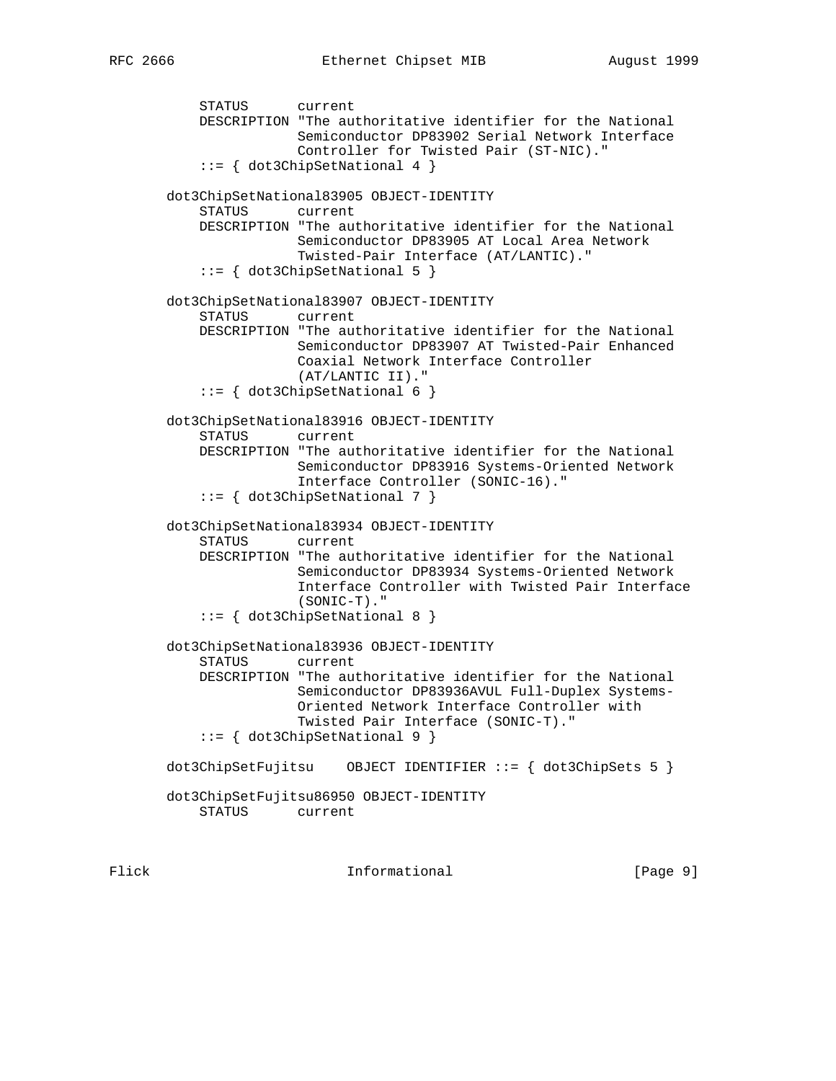STATUS current DESCRIPTION "The authoritative identifier for the National Semiconductor DP83902 Serial Network Interface Controller for Twisted Pair (ST-NIC)." ::= { dot3ChipSetNational 4 } dot3ChipSetNational83905 OBJECT-IDENTITY STATUS current DESCRIPTION "The authoritative identifier for the National Semiconductor DP83905 AT Local Area Network Twisted-Pair Interface (AT/LANTIC)." ::= { dot3ChipSetNational 5 } dot3ChipSetNational83907 OBJECT-IDENTITY STATUS current DESCRIPTION "The authoritative identifier for the National Semiconductor DP83907 AT Twisted-Pair Enhanced Coaxial Network Interface Controller (AT/LANTIC II)." ::= { dot3ChipSetNational 6 } dot3ChipSetNational83916 OBJECT-IDENTITY STATUS current DESCRIPTION "The authoritative identifier for the National Semiconductor DP83916 Systems-Oriented Network Interface Controller (SONIC-16)." ::= { dot3ChipSetNational 7 } dot3ChipSetNational83934 OBJECT-IDENTITY STATUS current DESCRIPTION "The authoritative identifier for the National Semiconductor DP83934 Systems-Oriented Network Interface Controller with Twisted Pair Interface (SONIC-T)." ::= { dot3ChipSetNational 8 } dot3ChipSetNational83936 OBJECT-IDENTITY STATUS current DESCRIPTION "The authoritative identifier for the National Semiconductor DP83936AVUL Full-Duplex Systems- Oriented Network Interface Controller with Twisted Pair Interface (SONIC-T)." ::= { dot3ChipSetNational 9 } dot3ChipSetFujitsu OBJECT IDENTIFIER ::= { dot3ChipSets 5 } dot3ChipSetFujitsu86950 OBJECT-IDENTITY STATUS current

Flick **Informational** Informational [Page 9]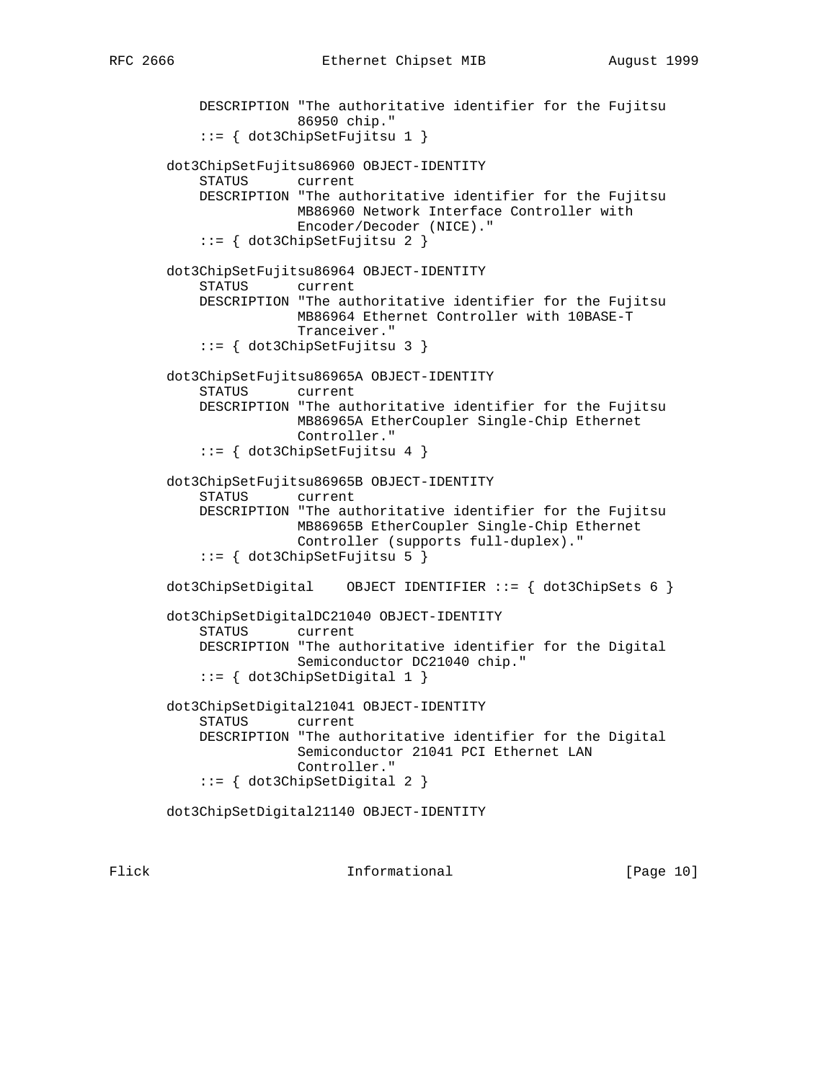```
 DESCRIPTION "The authoritative identifier for the Fujitsu
                86950 chip."
    ::= { dot3ChipSetFujitsu 1 }
dot3ChipSetFujitsu86960 OBJECT-IDENTITY
    STATUS current
    DESCRIPTION "The authoritative identifier for the Fujitsu
               MB86960 Network Interface Controller with
                Encoder/Decoder (NICE)."
    ::= { dot3ChipSetFujitsu 2 }
dot3ChipSetFujitsu86964 OBJECT-IDENTITY
    STATUS current
    DESCRIPTION "The authoritative identifier for the Fujitsu
               MB86964 Ethernet Controller with 10BASE-T
                Tranceiver."
    ::= { dot3ChipSetFujitsu 3 }
dot3ChipSetFujitsu86965A OBJECT-IDENTITY
    STATUS current
    DESCRIPTION "The authoritative identifier for the Fujitsu
               MB86965A EtherCoupler Single-Chip Ethernet
                Controller."
    ::= { dot3ChipSetFujitsu 4 }
dot3ChipSetFujitsu86965B OBJECT-IDENTITY
    STATUS current
    DESCRIPTION "The authoritative identifier for the Fujitsu
                MB86965B EtherCoupler Single-Chip Ethernet
                Controller (supports full-duplex)."
    ::= { dot3ChipSetFujitsu 5 }
dot3ChipSetDigital OBJECT IDENTIFIER ::= { dot3ChipSets 6 }
dot3ChipSetDigitalDC21040 OBJECT-IDENTITY
    STATUS current
    DESCRIPTION "The authoritative identifier for the Digital
               Semiconductor DC21040 chip."
    ::= { dot3ChipSetDigital 1 }
dot3ChipSetDigital21041 OBJECT-IDENTITY
    STATUS current
    DESCRIPTION "The authoritative identifier for the Digital
                Semiconductor 21041 PCI Ethernet LAN
                Controller."
    ::= { dot3ChipSetDigital 2 }
dot3ChipSetDigital21140 OBJECT-IDENTITY
```
Flick **Informational** [Page 10]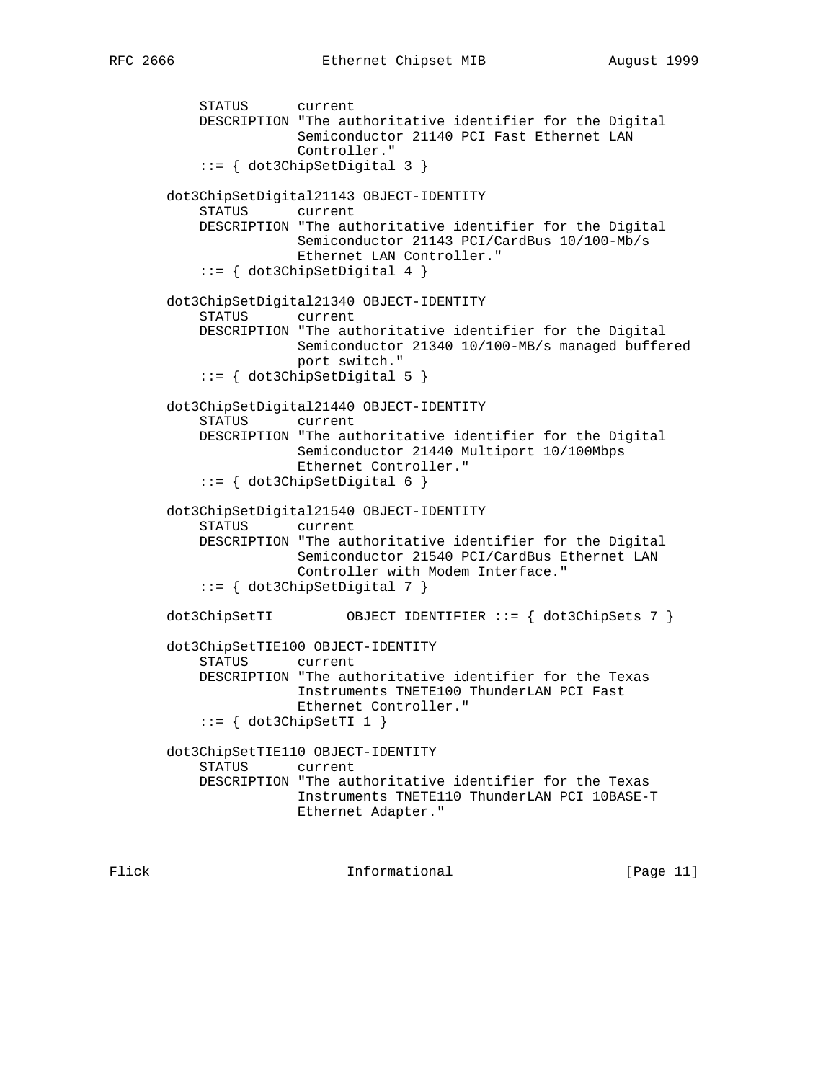STATUS current DESCRIPTION "The authoritative identifier for the Digital Semiconductor 21140 PCI Fast Ethernet LAN Controller." ::= { dot3ChipSetDigital 3 } dot3ChipSetDigital21143 OBJECT-IDENTITY STATUS current DESCRIPTION "The authoritative identifier for the Digital Semiconductor 21143 PCI/CardBus 10/100-Mb/s Ethernet LAN Controller." ::= { dot3ChipSetDigital 4 } dot3ChipSetDigital21340 OBJECT-IDENTITY STATUS current DESCRIPTION "The authoritative identifier for the Digital Semiconductor 21340 10/100-MB/s managed buffered port switch." ::= { dot3ChipSetDigital 5 } dot3ChipSetDigital21440 OBJECT-IDENTITY STATUS current DESCRIPTION "The authoritative identifier for the Digital Semiconductor 21440 Multiport 10/100Mbps Ethernet Controller." ::= { dot3ChipSetDigital 6 } dot3ChipSetDigital21540 OBJECT-IDENTITY STATUS current DESCRIPTION "The authoritative identifier for the Digital Semiconductor 21540 PCI/CardBus Ethernet LAN Controller with Modem Interface." ::= { dot3ChipSetDigital 7 } dot3ChipSetTI OBJECT IDENTIFIER ::= { dot3ChipSets 7 } dot3ChipSetTIE100 OBJECT-IDENTITY STATUS current DESCRIPTION "The authoritative identifier for the Texas Instruments TNETE100 ThunderLAN PCI Fast Ethernet Controller." ::= { dot3ChipSetTI 1 } dot3ChipSetTIE110 OBJECT-IDENTITY STATUS current DESCRIPTION "The authoritative identifier for the Texas Instruments TNETE110 ThunderLAN PCI 10BASE-T Ethernet Adapter."

Flick **Informational Informational** [Page 11]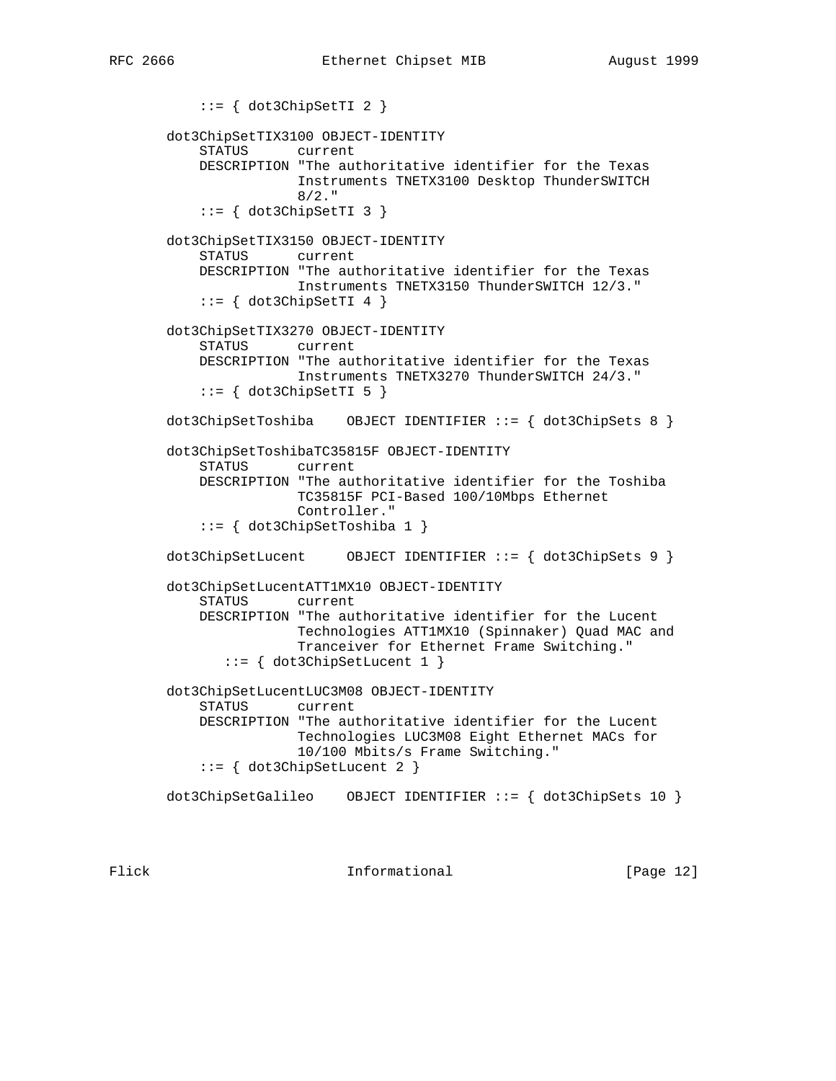::= { dot3ChipSetTI 2 } dot3ChipSetTIX3100 OBJECT-IDENTITY current DESCRIPTION "The authoritative identifier for the Texas Instruments TNETX3100 Desktop ThunderSWITCH 8/2."  $::=$  { dot3ChipSetTI 3 } dot3ChipSetTIX3150 OBJECT-IDENTITY STATUS current DESCRIPTION "The authoritative identifier for the Texas Instruments TNETX3150 ThunderSWITCH 12/3."  $::= \{ dot3ChipSetTI 4 \}$  dot3ChipSetTIX3270 OBJECT-IDENTITY STATUS current DESCRIPTION "The authoritative identifier for the Texas Instruments TNETX3270 ThunderSWITCH 24/3."  $::=$  { dot3ChipSetTI 5 } dot3ChipSetToshiba OBJECT IDENTIFIER ::= { dot3ChipSets 8 } dot3ChipSetToshibaTC35815F OBJECT-IDENTITY STATUS current DESCRIPTION "The authoritative identifier for the Toshiba TC35815F PCI-Based 100/10Mbps Ethernet Controller." ::= { dot3ChipSetToshiba 1 } dot3ChipSetLucent OBJECT IDENTIFIER ::= { dot3ChipSets 9 } dot3ChipSetLucentATT1MX10 OBJECT-IDENTITY STATUS current DESCRIPTION "The authoritative identifier for the Lucent Technologies ATT1MX10 (Spinnaker) Quad MAC and Tranceiver for Ethernet Frame Switching." ::= { dot3ChipSetLucent 1 } dot3ChipSetLucentLUC3M08 OBJECT-IDENTITY STATUS current DESCRIPTION "The authoritative identifier for the Lucent Technologies LUC3M08 Eight Ethernet MACs for 10/100 Mbits/s Frame Switching." ::= { dot3ChipSetLucent 2 } dot3ChipSetGalileo OBJECT IDENTIFIER ::= { dot3ChipSets 10 }

Flick **Informational** [Page 12]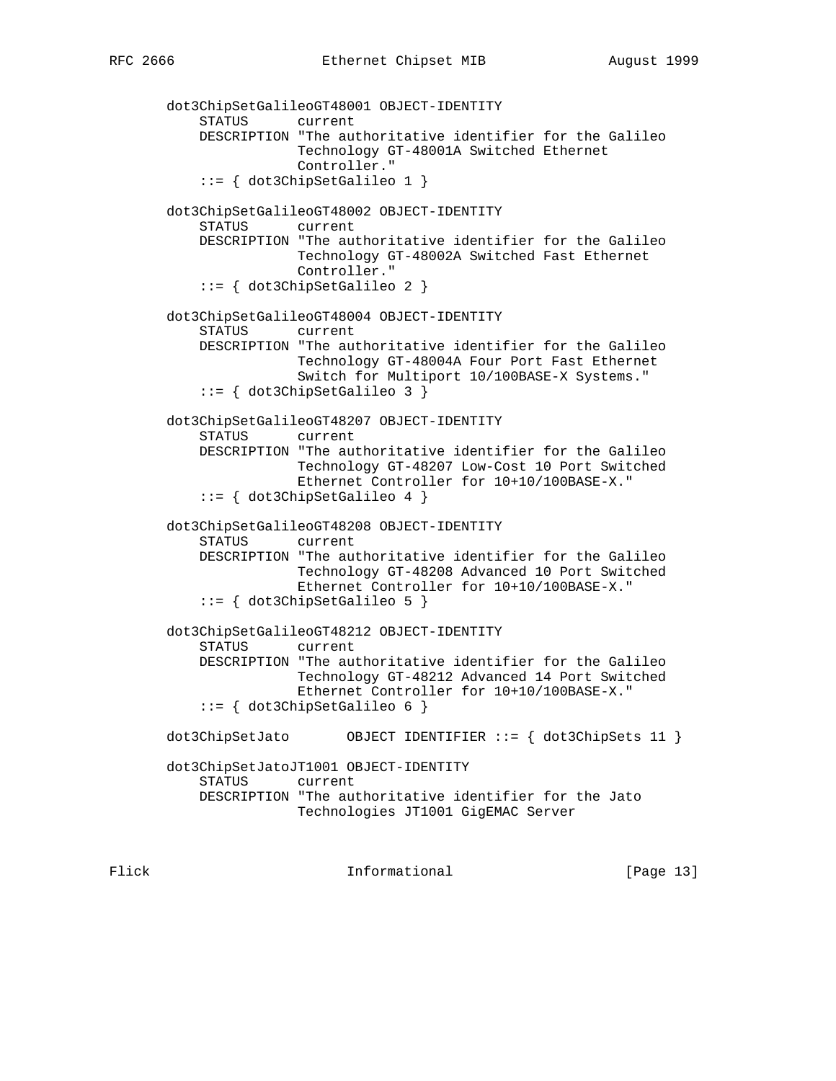dot3ChipSetGalileoGT48001 OBJECT-IDENTITY STATUS current DESCRIPTION "The authoritative identifier for the Galileo Technology GT-48001A Switched Ethernet Controller." ::= { dot3ChipSetGalileo 1 } dot3ChipSetGalileoGT48002 OBJECT-IDENTITY STATUS current DESCRIPTION "The authoritative identifier for the Galileo Technology GT-48002A Switched Fast Ethernet Controller." ::= { dot3ChipSetGalileo 2 } dot3ChipSetGalileoGT48004 OBJECT-IDENTITY STATUS current DESCRIPTION "The authoritative identifier for the Galileo Technology GT-48004A Four Port Fast Ethernet Switch for Multiport 10/100BASE-X Systems." ::= { dot3ChipSetGalileo 3 } dot3ChipSetGalileoGT48207 OBJECT-IDENTITY STATUS current DESCRIPTION "The authoritative identifier for the Galileo Technology GT-48207 Low-Cost 10 Port Switched Ethernet Controller for 10+10/100BASE-X." ::= { dot3ChipSetGalileo 4 } dot3ChipSetGalileoGT48208 OBJECT-IDENTITY STATUS current DESCRIPTION "The authoritative identifier for the Galileo Technology GT-48208 Advanced 10 Port Switched Ethernet Controller for 10+10/100BASE-X." ::= { dot3ChipSetGalileo 5 } dot3ChipSetGalileoGT48212 OBJECT-IDENTITY STATUS current DESCRIPTION "The authoritative identifier for the Galileo Technology GT-48212 Advanced 14 Port Switched Ethernet Controller for 10+10/100BASE-X." ::= { dot3ChipSetGalileo 6 } dot3ChipSetJato OBJECT IDENTIFIER ::= { dot3ChipSets 11 } dot3ChipSetJatoJT1001 OBJECT-IDENTITY STATUS current DESCRIPTION "The authoritative identifier for the Jato Technologies JT1001 GigEMAC Server

Flick **Informational** [Page 13]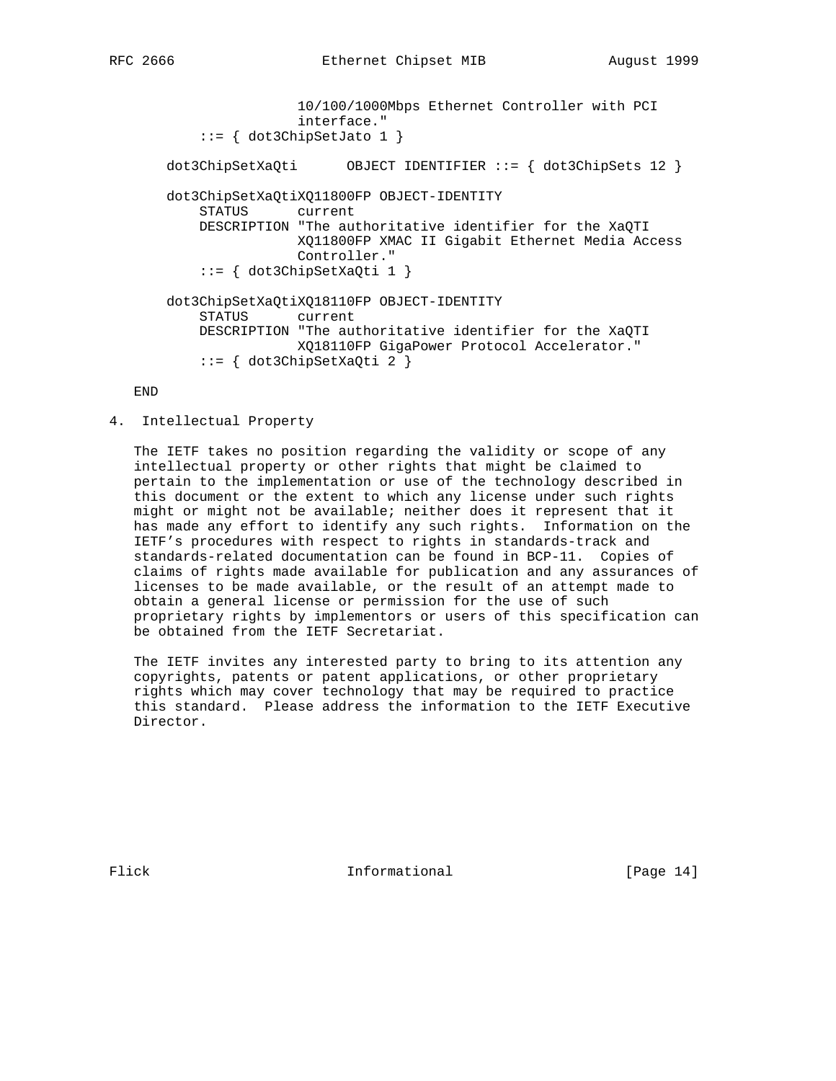10/100/1000Mbps Ethernet Controller with PCI interface." ::= { dot3ChipSetJato 1 } dot3ChipSetXaQti OBJECT IDENTIFIER ::= { dot3ChipSets 12 } dot3ChipSetXaQtiXQ11800FP OBJECT-IDENTITY STATUS current DESCRIPTION "The authoritative identifier for the XaQTI XQ11800FP XMAC II Gigabit Ethernet Media Access Controller." ::= { dot3ChipSetXaQti 1 } dot3ChipSetXaQtiXQ18110FP OBJECT-IDENTITY STATUS current DESCRIPTION "The authoritative identifier for the XaQTI XQ18110FP GigaPower Protocol Accelerator." ::= { dot3ChipSetXaQti 2 }

END

4. Intellectual Property

 The IETF takes no position regarding the validity or scope of any intellectual property or other rights that might be claimed to pertain to the implementation or use of the technology described in this document or the extent to which any license under such rights might or might not be available; neither does it represent that it has made any effort to identify any such rights. Information on the IETF's procedures with respect to rights in standards-track and standards-related documentation can be found in BCP-11. Copies of claims of rights made available for publication and any assurances of licenses to be made available, or the result of an attempt made to obtain a general license or permission for the use of such proprietary rights by implementors or users of this specification can be obtained from the IETF Secretariat.

 The IETF invites any interested party to bring to its attention any copyrights, patents or patent applications, or other proprietary rights which may cover technology that may be required to practice this standard. Please address the information to the IETF Executive Director.

Flick **Informational Informational** [Page 14]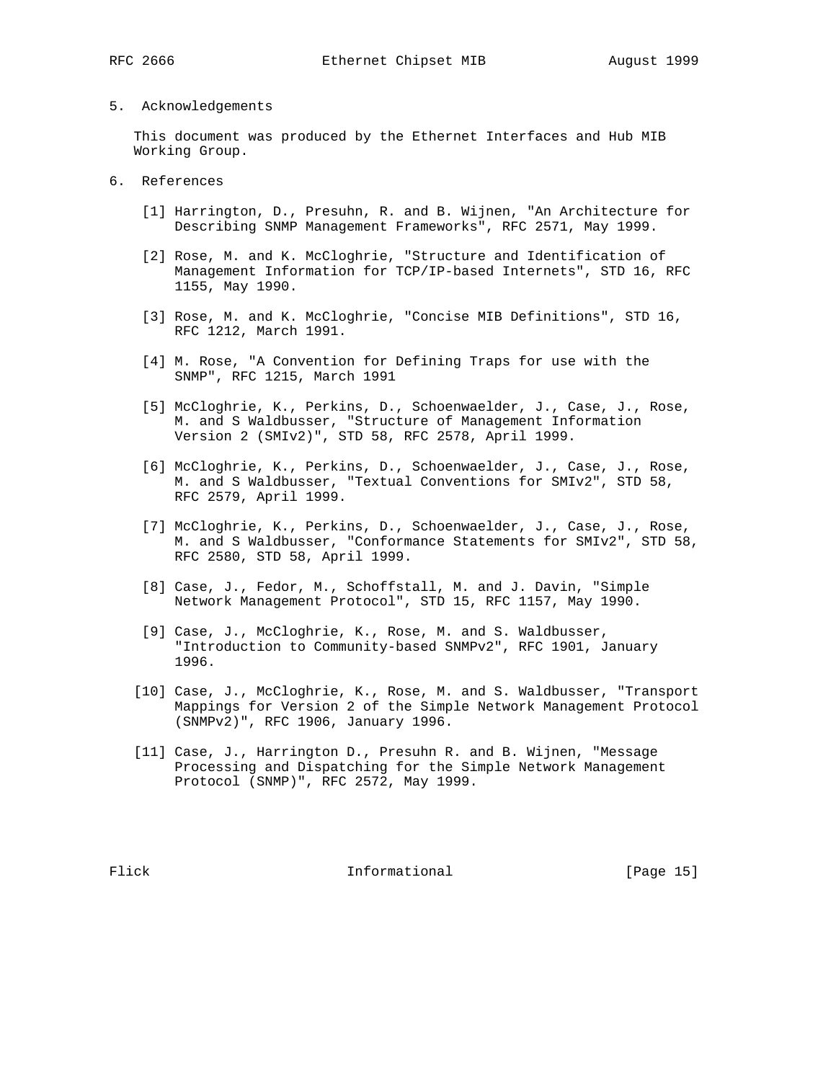#### 5. Acknowledgements

 This document was produced by the Ethernet Interfaces and Hub MIB Working Group.

- 6. References
	- [1] Harrington, D., Presuhn, R. and B. Wijnen, "An Architecture for Describing SNMP Management Frameworks", RFC 2571, May 1999.
	- [2] Rose, M. and K. McCloghrie, "Structure and Identification of Management Information for TCP/IP-based Internets", STD 16, RFC 1155, May 1990.
	- [3] Rose, M. and K. McCloghrie, "Concise MIB Definitions", STD 16, RFC 1212, March 1991.
	- [4] M. Rose, "A Convention for Defining Traps for use with the SNMP", RFC 1215, March 1991
	- [5] McCloghrie, K., Perkins, D., Schoenwaelder, J., Case, J., Rose, M. and S Waldbusser, "Structure of Management Information Version 2 (SMIv2)", STD 58, RFC 2578, April 1999.
	- [6] McCloghrie, K., Perkins, D., Schoenwaelder, J., Case, J., Rose, M. and S Waldbusser, "Textual Conventions for SMIv2", STD 58, RFC 2579, April 1999.
	- [7] McCloghrie, K., Perkins, D., Schoenwaelder, J., Case, J., Rose, M. and S Waldbusser, "Conformance Statements for SMIv2", STD 58, RFC 2580, STD 58, April 1999.
	- [8] Case, J., Fedor, M., Schoffstall, M. and J. Davin, "Simple Network Management Protocol", STD 15, RFC 1157, May 1990.
	- [9] Case, J., McCloghrie, K., Rose, M. and S. Waldbusser, "Introduction to Community-based SNMPv2", RFC 1901, January 1996.
	- [10] Case, J., McCloghrie, K., Rose, M. and S. Waldbusser, "Transport Mappings for Version 2 of the Simple Network Management Protocol (SNMPv2)", RFC 1906, January 1996.
	- [11] Case, J., Harrington D., Presuhn R. and B. Wijnen, "Message Processing and Dispatching for the Simple Network Management Protocol (SNMP)", RFC 2572, May 1999.

Flick **Informational** [Page 15]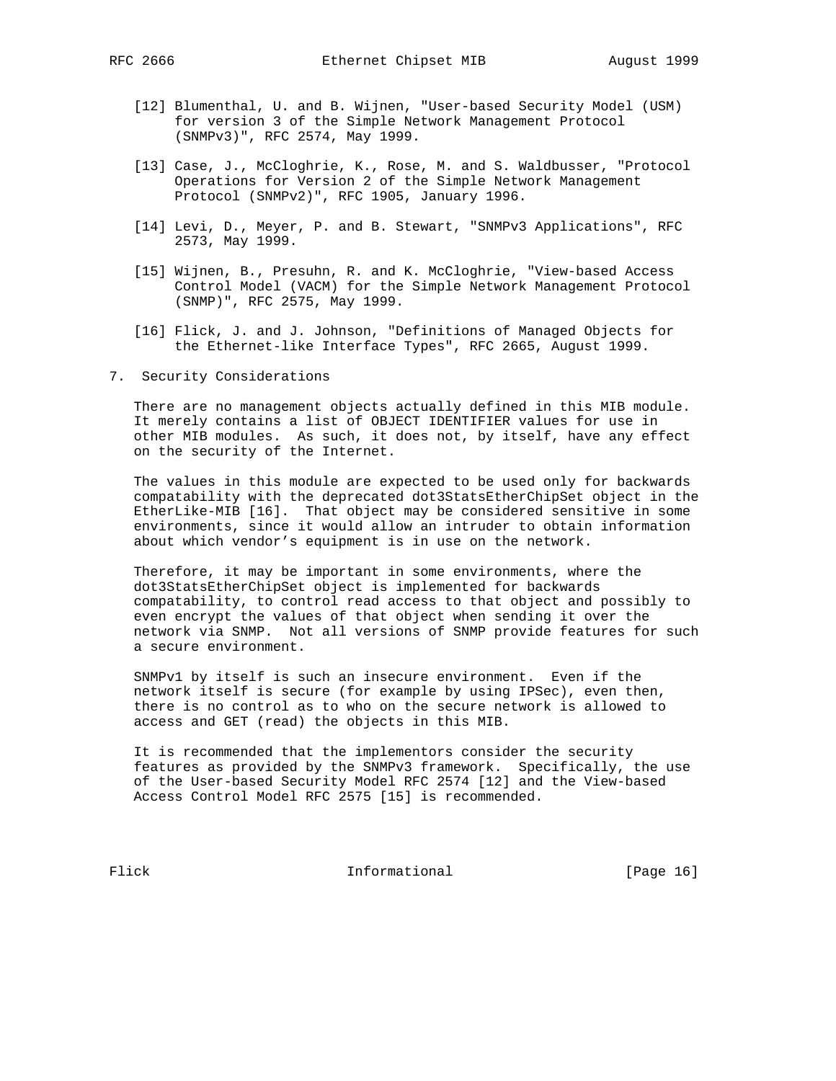- [12] Blumenthal, U. and B. Wijnen, "User-based Security Model (USM) for version 3 of the Simple Network Management Protocol (SNMPv3)", RFC 2574, May 1999.
- [13] Case, J., McCloghrie, K., Rose, M. and S. Waldbusser, "Protocol Operations for Version 2 of the Simple Network Management Protocol (SNMPv2)", RFC 1905, January 1996.
- [14] Levi, D., Meyer, P. and B. Stewart, "SNMPv3 Applications", RFC 2573, May 1999.
- [15] Wijnen, B., Presuhn, R. and K. McCloghrie, "View-based Access Control Model (VACM) for the Simple Network Management Protocol (SNMP)", RFC 2575, May 1999.
- [16] Flick, J. and J. Johnson, "Definitions of Managed Objects for the Ethernet-like Interface Types", RFC 2665, August 1999.
- 7. Security Considerations

 There are no management objects actually defined in this MIB module. It merely contains a list of OBJECT IDENTIFIER values for use in other MIB modules. As such, it does not, by itself, have any effect on the security of the Internet.

 The values in this module are expected to be used only for backwards compatability with the deprecated dot3StatsEtherChipSet object in the EtherLike-MIB [16]. That object may be considered sensitive in some environments, since it would allow an intruder to obtain information about which vendor's equipment is in use on the network.

 Therefore, it may be important in some environments, where the dot3StatsEtherChipSet object is implemented for backwards compatability, to control read access to that object and possibly to even encrypt the values of that object when sending it over the network via SNMP. Not all versions of SNMP provide features for such a secure environment.

 SNMPv1 by itself is such an insecure environment. Even if the network itself is secure (for example by using IPSec), even then, there is no control as to who on the secure network is allowed to access and GET (read) the objects in this MIB.

 It is recommended that the implementors consider the security features as provided by the SNMPv3 framework. Specifically, the use of the User-based Security Model RFC 2574 [12] and the View-based Access Control Model RFC 2575 [15] is recommended.

Flick Informational [Page 16]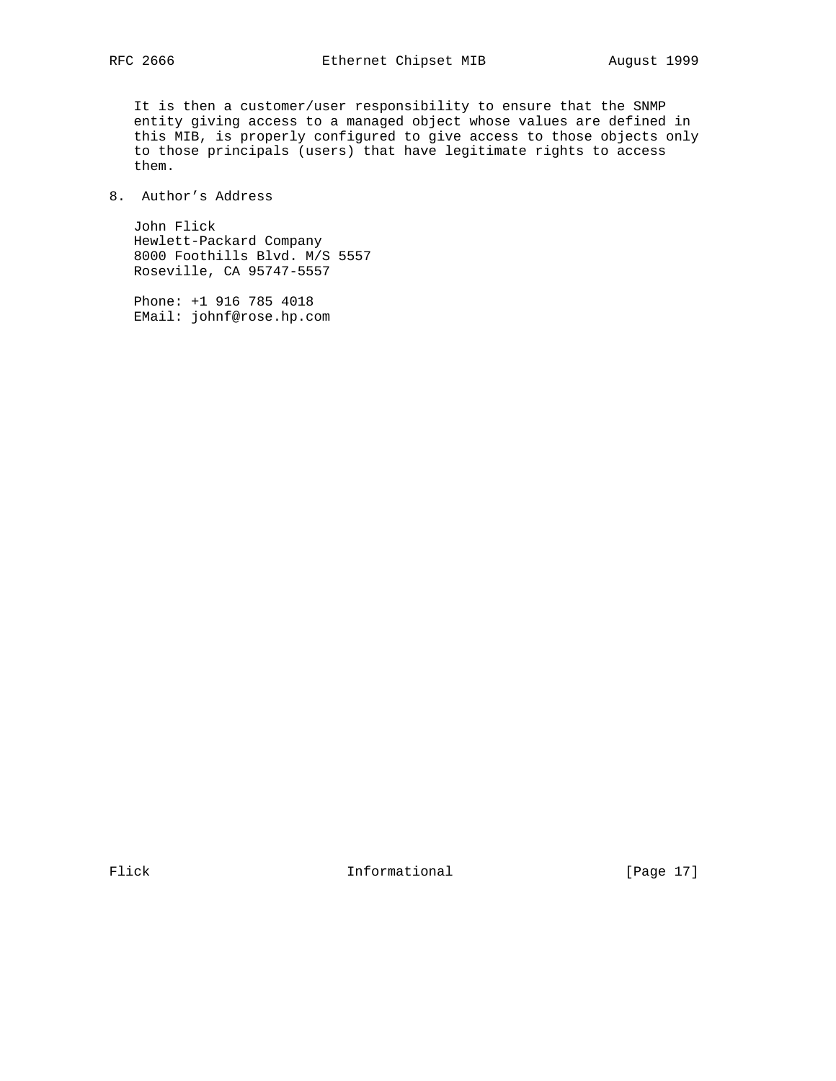It is then a customer/user responsibility to ensure that the SNMP entity giving access to a managed object whose values are defined in this MIB, is properly configured to give access to those objects only to those principals (users) that have legitimate rights to access them.

# 8. Author's Address

 John Flick Hewlett-Packard Company 8000 Foothills Blvd. M/S 5557 Roseville, CA 95747-5557

 Phone: +1 916 785 4018 EMail: johnf@rose.hp.com

Flick Informational [Page 17]